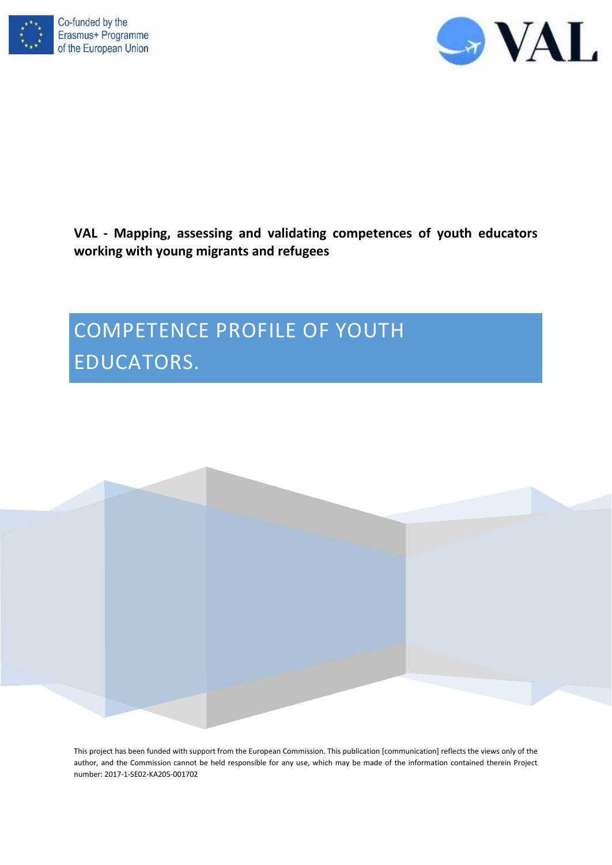



# **VAL - Mapping, assessing and validating competences of youth educators working with young migrants and refugees**

# COMPETENCE PROFILE OF YOUTH EDUCATORS.



This project has been funded with support from the European Commission. This publication [communication] reflects the views only of the author, and the Commission cannot be held responsible for any use, which may be made of the information contained therein Project number: 2017-1-SE02-KA205-001702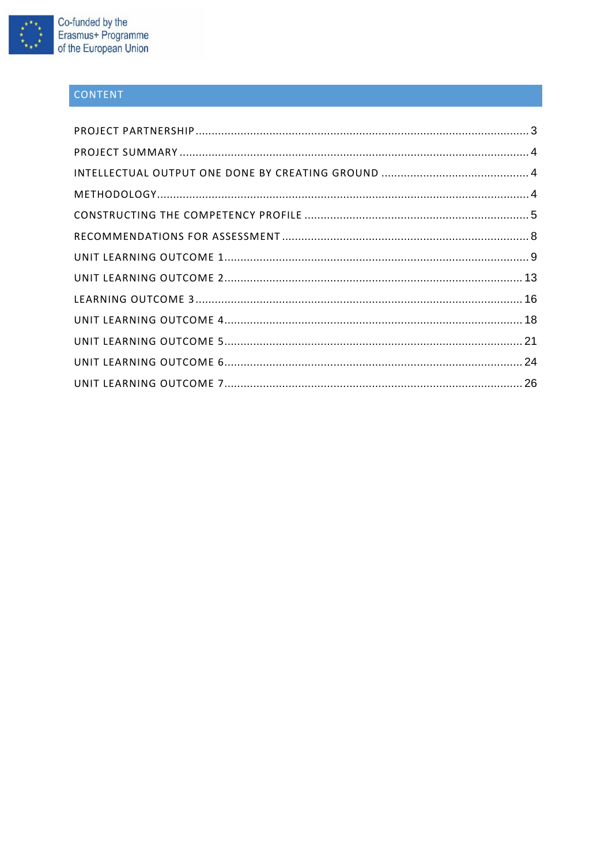

# CONTENT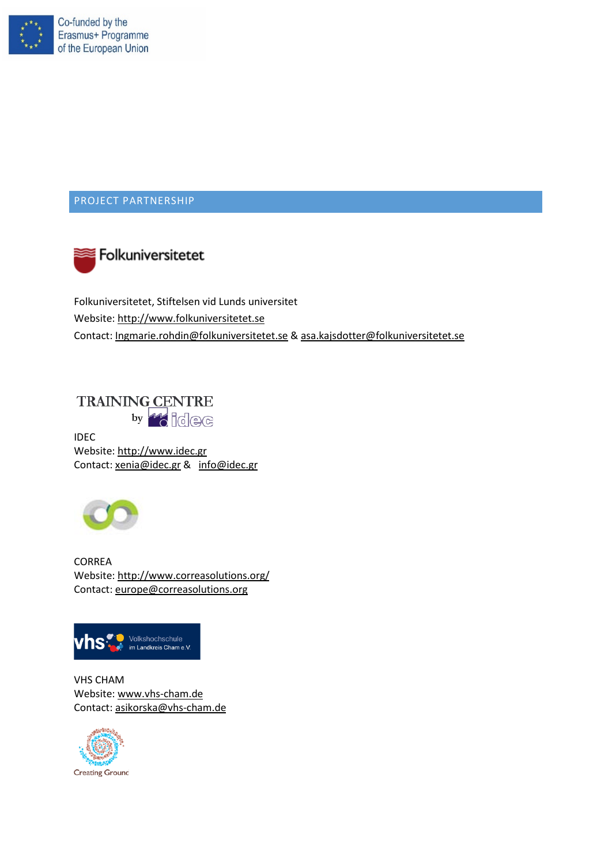

# <span id="page-2-0"></span>PROJECT PARTNERSHIP



Folkuniversitetet, Stiftelsen vid Lunds universitet Website: [http://www.folkuniversitetet.se](http://www.folkuniversitetet.se/) Contact: [Ingmarie.rohdin@folkuniversitetet.se](mailto:Ingmarie.rohdin@folkuniversitetet.se) & [asa.kajsdotter@folkuniversitetet.se](mailto:asa.kajsdotter@folkuniversitetet.se)

**TRAINING CENTRE** by **16** idee

IDEC Website[: http://www.idec.gr](http://www.idec.gr/) Contact: [xenia@idec.gr](mailto:xenia@idec.gr) & [info@idec.gr](mailto:info@idec.gr)



CORREA Website[: http://www.correasolutions.org/](http://www.correasolutions.org/) Contact: [europe@correasolutions.org](mailto:europe@correasolutions.org)



VHS CHAM Website[: www.vhs-cham.de](http://www.vhs-cham.de/) Contact: [asikorska@vhs-cham.de](mailto:asikorska@vhs-cham.de)

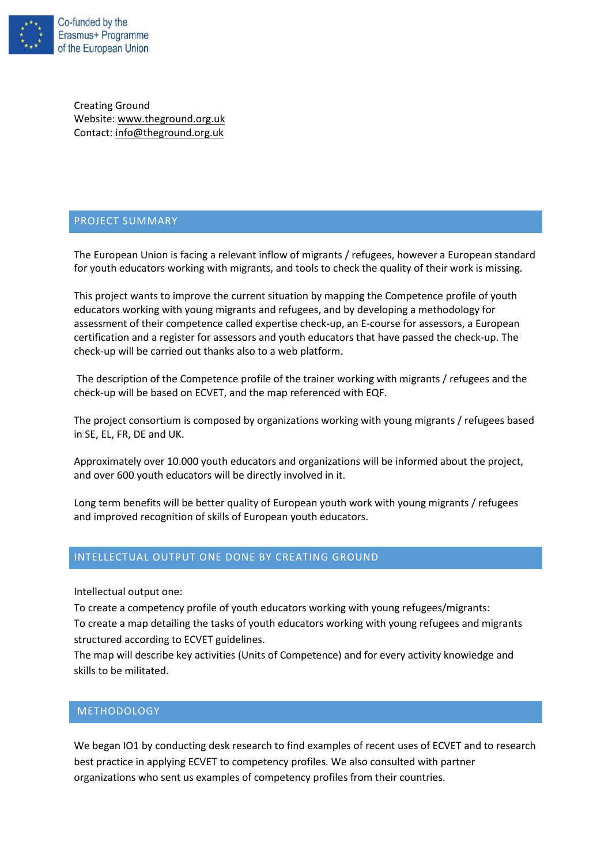

Creating Ground Website[: www.theground.org.uk](http://www.theground.org.uk/) Contact: [info@theground.org.uk](mailto:info@theground.org.uk)

### <span id="page-3-0"></span>PROJECT SUMMARY

The European Union is facing a relevant inflow of migrants / refugees, however a European standard for youth educators working with migrants, and tools to check the quality of their work is missing.

This project wants to improve the current situation by mapping the Competence profile of youth educators working with young migrants and refugees, and by developing a methodology for assessment of their competence called expertise check-up, an E-course for assessors, a European certification and a register for assessors and youth educators that have passed the check-up. The check-up will be carried out thanks also to a web platform.

The description of the Competence profile of the trainer working with migrants / refugees and the check-up will be based on ECVET, and the map referenced with EQF.

The project consortium is composed by organizations working with young migrants / refugees based in SE, EL, FR, DE and UK.

Approximately over 10.000 youth educators and organizations will be informed about the project, and over 600 youth educators will be directly involved in it.

Long term benefits will be better quality of European youth work with young migrants / refugees and improved recognition of skills of European youth educators.

# <span id="page-3-1"></span>INTELLECTUAL OUTPUT ONE DONE BY CREATING GROUND

Intellectual output one:

To create a competency profile of youth educators working with young refugees/migrants:

To create a map detailing the tasks of youth educators working with young refugees and migrants structured according to ECVET guidelines.

The map will describe key activities (Units of Competence) and for every activity knowledge and skills to be militated.

#### <span id="page-3-2"></span>METHODOLOGY

We began IO1 by conducting desk research to find examples of recent uses of ECVET and to research best practice in applying ECVET to competency profiles. We also consulted with partner organizations who sent us examples of competency profiles from their countries.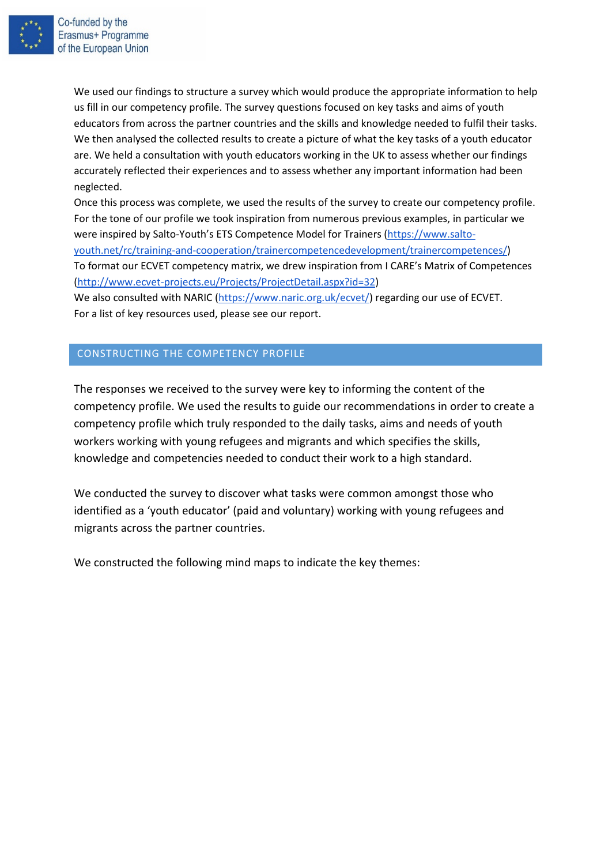

We used our findings to structure a survey which would produce the appropriate information to help us fill in our competency profile. The survey questions focused on key tasks and aims of youth educators from across the partner countries and the skills and knowledge needed to fulfil their tasks. We then analysed the collected results to create a picture of what the key tasks of a youth educator are. We held a consultation with youth educators working in the UK to assess whether our findings accurately reflected their experiences and to assess whether any important information had been neglected.

Once this process was complete, we used the results of the survey to create our competency profile. For the tone of our profile we took inspiration from numerous previous examples, in particular we were inspired by Salto-Youth's ETS Competence Model for Trainers [\(https://www.salto](https://www.salto-youth.net/rc/training-and-cooperation/trainercompetencedevelopment/trainercompetences/)[youth.net/rc/training-and-cooperation/trainercompetencedevelopment/trainercompetences/\)](https://www.salto-youth.net/rc/training-and-cooperation/trainercompetencedevelopment/trainercompetences/) To format our ECVET competency matrix, we drew inspiration from I CARE's Matrix of Competences

[\(http://www.ecvet-projects.eu/Projects/ProjectDetail.aspx?id=32\)](http://www.ecvet-projects.eu/Projects/ProjectDetail.aspx?id=32)

We also consulted with NARIC [\(https://www.naric.org.uk/ecvet/\)](https://www.naric.org.uk/ecvet/) regarding our use of ECVET. For a list of key resources used, please see our report.

# <span id="page-4-0"></span>CONSTRUCTING THE COMPETENCY PROFILE

The responses we received to the survey were key to informing the content of the competency profile. We used the results to guide our recommendations in order to create a competency profile which truly responded to the daily tasks, aims and needs of youth workers working with young refugees and migrants and which specifies the skills, knowledge and competencies needed to conduct their work to a high standard.

We conducted the survey to discover what tasks were common amongst those who identified as a 'youth educator' (paid and voluntary) working with young refugees and migrants across the partner countries.

We constructed the following mind maps to indicate the key themes: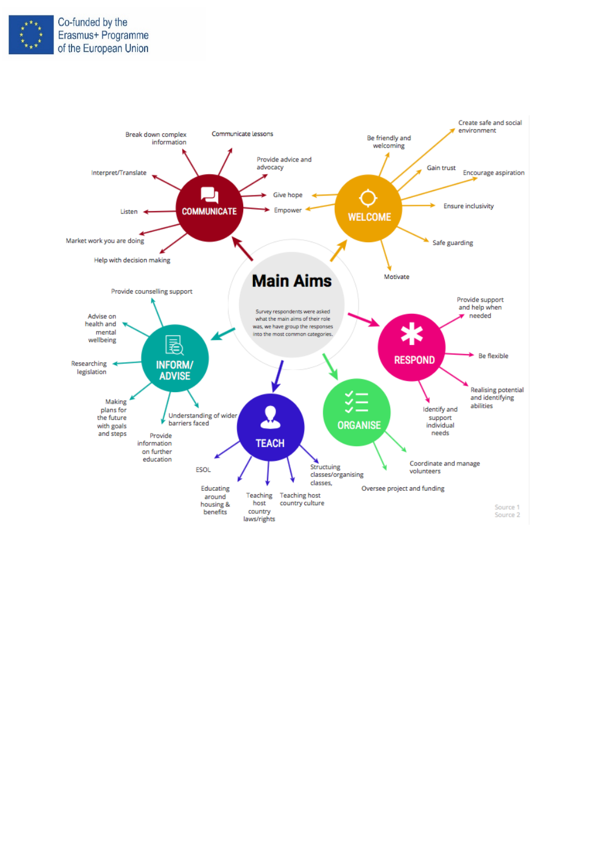

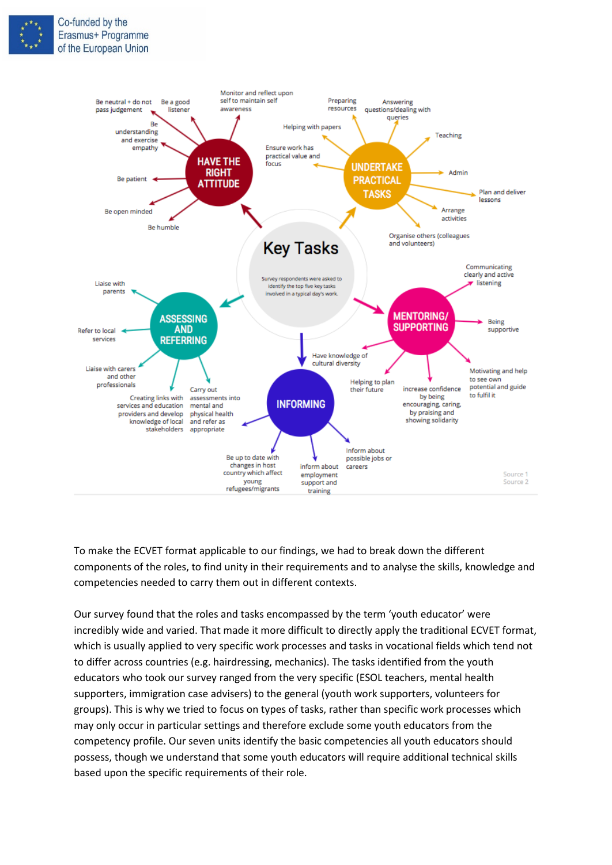



To make the ECVET format applicable to our findings, we had to break down the different components of the roles, to find unity in their requirements and to analyse the skills, knowledge and competencies needed to carry them out in different contexts.

Our survey found that the roles and tasks encompassed by the term 'youth educator' were incredibly wide and varied. That made it more difficult to directly apply the traditional ECVET format, which is usually applied to very specific work processes and tasks in vocational fields which tend not to differ across countries (e.g. hairdressing, mechanics). The tasks identified from the youth educators who took our survey ranged from the very specific (ESOL teachers, mental health supporters, immigration case advisers) to the general (youth work supporters, volunteers for groups). This is why we tried to focus on types of tasks, rather than specific work processes which may only occur in particular settings and therefore exclude some youth educators from the competency profile. Our seven units identify the basic competencies all youth educators should possess, though we understand that some youth educators will require additional technical skills based upon the specific requirements of their role.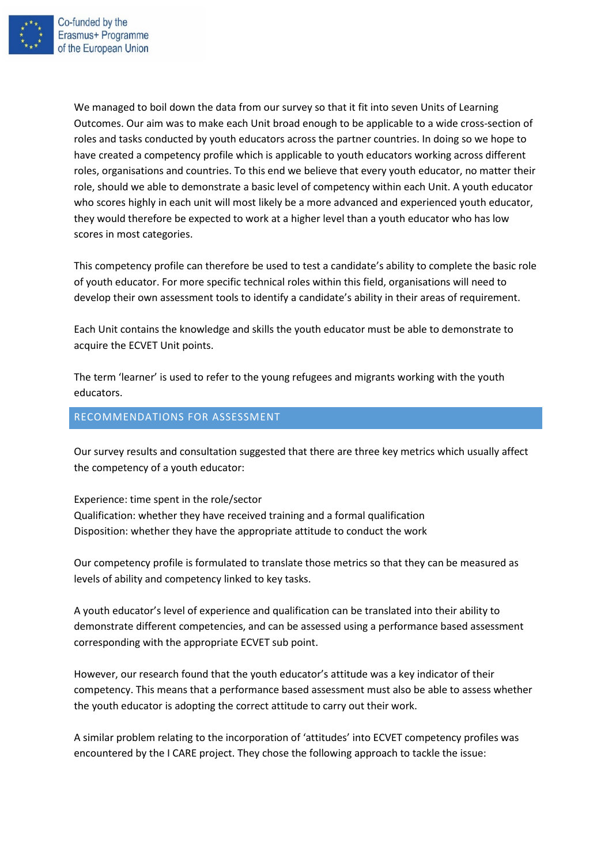

We managed to boil down the data from our survey so that it fit into seven Units of Learning Outcomes. Our aim was to make each Unit broad enough to be applicable to a wide cross-section of roles and tasks conducted by youth educators across the partner countries. In doing so we hope to have created a competency profile which is applicable to youth educators working across different roles, organisations and countries. To this end we believe that every youth educator, no matter their role, should we able to demonstrate a basic level of competency within each Unit. A youth educator who scores highly in each unit will most likely be a more advanced and experienced youth educator, they would therefore be expected to work at a higher level than a youth educator who has low scores in most categories.

This competency profile can therefore be used to test a candidate's ability to complete the basic role of youth educator. For more specific technical roles within this field, organisations will need to develop their own assessment tools to identify a candidate's ability in their areas of requirement.

Each Unit contains the knowledge and skills the youth educator must be able to demonstrate to acquire the ECVET Unit points.

The term 'learner' is used to refer to the young refugees and migrants working with the youth educators.

### <span id="page-7-0"></span>RECOMMENDATIONS FOR ASSESSMENT

Our survey results and consultation suggested that there are three key metrics which usually affect the competency of a youth educator:

Experience: time spent in the role/sector Qualification: whether they have received training and a formal qualification Disposition: whether they have the appropriate attitude to conduct the work

Our competency profile is formulated to translate those metrics so that they can be measured as levels of ability and competency linked to key tasks.

A youth educator's level of experience and qualification can be translated into their ability to demonstrate different competencies, and can be assessed using a performance based assessment corresponding with the appropriate ECVET sub point.

However, our research found that the youth educator's attitude was a key indicator of their competency. This means that a performance based assessment must also be able to assess whether the youth educator is adopting the correct attitude to carry out their work.

A similar problem relating to the incorporation of 'attitudes' into ECVET competency profiles was encountered by the I CARE project. They chose the following approach to tackle the issue: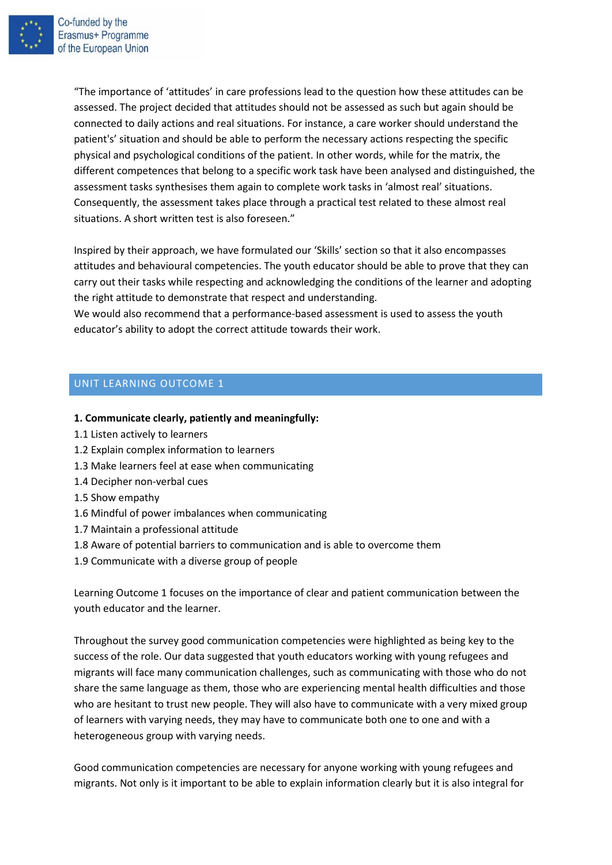

Co-funded by the Erasmus+ Programme of the European Union

> "The importance of 'attitudes' in care professions lead to the question how these attitudes can be assessed. The project decided that attitudes should not be assessed as such but again should be connected to daily actions and real situations. For instance, a care worker should understand the patient's' situation and should be able to perform the necessary actions respecting the specific physical and psychological conditions of the patient. In other words, while for the matrix, the different competences that belong to a specific work task have been analysed and distinguished, the assessment tasks synthesises them again to complete work tasks in 'almost real' situations. Consequently, the assessment takes place through a practical test related to these almost real situations. A short written test is also foreseen."

> Inspired by their approach, we have formulated our 'Skills' section so that it also encompasses attitudes and behavioural competencies. The youth educator should be able to prove that they can carry out their tasks while respecting and acknowledging the conditions of the learner and adopting the right attitude to demonstrate that respect and understanding.

We would also recommend that a performance-based assessment is used to assess the youth educator's ability to adopt the correct attitude towards their work.

# <span id="page-8-0"></span>UNIT LEARNING OUTCOME 1

#### **1. Communicate clearly, patiently and meaningfully:**

- 1.1 Listen actively to learners
- 1.2 Explain complex information to learners
- 1.3 Make learners feel at ease when communicating
- 1.4 Decipher non-verbal cues
- 1.5 Show empathy
- 1.6 Mindful of power imbalances when communicating
- 1.7 Maintain a professional attitude
- 1.8 Aware of potential barriers to communication and is able to overcome them
- 1.9 Communicate with a diverse group of people

Learning Outcome 1 focuses on the importance of clear and patient communication between the youth educator and the learner.

Throughout the survey good communication competencies were highlighted as being key to the success of the role. Our data suggested that youth educators working with young refugees and migrants will face many communication challenges, such as communicating with those who do not share the same language as them, those who are experiencing mental health difficulties and those who are hesitant to trust new people. They will also have to communicate with a very mixed group of learners with varying needs, they may have to communicate both one to one and with a heterogeneous group with varying needs.

Good communication competencies are necessary for anyone working with young refugees and migrants. Not only is it important to be able to explain information clearly but it is also integral for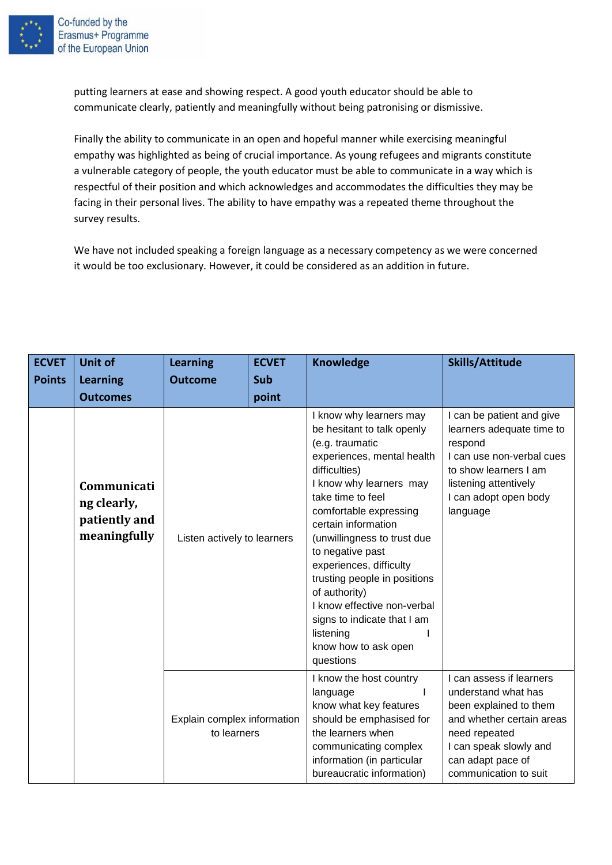

putting learners at ease and showing respect. A good youth educator should be able to communicate clearly, patiently and meaningfully without being patronising or dismissive.

Finally the ability to communicate in an open and hopeful manner while exercising meaningful empathy was highlighted as being of crucial importance. As young refugees and migrants constitute a vulnerable category of people, the youth educator must be able to communicate in a way which is respectful of their position and which acknowledges and accommodates the difficulties they may be facing in their personal lives. The ability to have empathy was a repeated theme throughout the survey results.

We have not included speaking a foreign language as a necessary competency as we were concerned it would be too exclusionary. However, it could be considered as an addition in future.

| <b>ECVET</b>  | <b>Unit of</b>                                              | <b>Learning</b><br><b>ECVET</b>            |              | <b>Knowledge</b>                                                                                                                                                                                                                                                                                                                                                                                                                                                        | <b>Skills/Attitude</b>                                                                                                                                                                          |
|---------------|-------------------------------------------------------------|--------------------------------------------|--------------|-------------------------------------------------------------------------------------------------------------------------------------------------------------------------------------------------------------------------------------------------------------------------------------------------------------------------------------------------------------------------------------------------------------------------------------------------------------------------|-------------------------------------------------------------------------------------------------------------------------------------------------------------------------------------------------|
| <b>Points</b> | <b>Learning</b><br><b>Outcomes</b>                          | <b>Outcome</b>                             | Sub<br>point |                                                                                                                                                                                                                                                                                                                                                                                                                                                                         |                                                                                                                                                                                                 |
|               | Communicati<br>ng clearly,<br>patiently and<br>meaningfully | Listen actively to learners                |              | I know why learners may<br>be hesitant to talk openly<br>(e.g. traumatic<br>experiences, mental health<br>difficulties)<br>I know why learners may<br>take time to feel<br>comfortable expressing<br>certain information<br>(unwillingness to trust due<br>to negative past<br>experiences, difficulty<br>trusting people in positions<br>of authority)<br>I know effective non-verbal<br>signs to indicate that I am<br>listening<br>know how to ask open<br>questions | I can be patient and give<br>learners adequate time to<br>respond<br>I can use non-verbal cues<br>to show learners I am<br>listening attentively<br>I can adopt open body<br>language           |
|               |                                                             | Explain complex information<br>to learners |              | I know the host country<br>language<br>know what key features<br>should be emphasised for<br>the learners when<br>communicating complex<br>information (in particular<br>bureaucratic information)                                                                                                                                                                                                                                                                      | I can assess if learners<br>understand what has<br>been explained to them<br>and whether certain areas<br>need repeated<br>I can speak slowly and<br>can adapt pace of<br>communication to suit |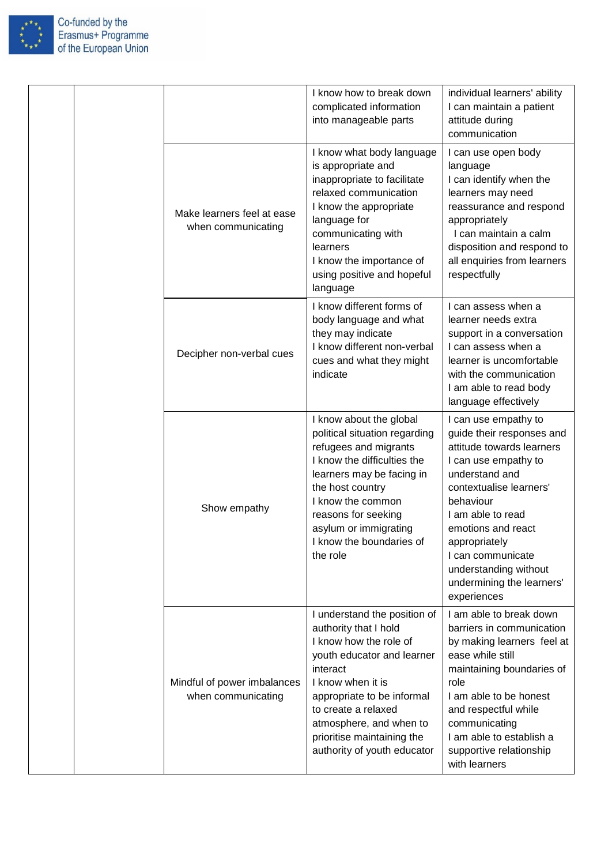

| Co-funded by the      |
|-----------------------|
| Erasmus+ Programme    |
| of the European Union |
|                       |

|  |                                                   | I know how to break down<br>complicated information<br>into manageable parts                                                                                                                                                                                                                | individual learners' ability<br>I can maintain a patient<br>attitude during<br>communication                                                                                                                                                                                                                           |
|--|---------------------------------------------------|---------------------------------------------------------------------------------------------------------------------------------------------------------------------------------------------------------------------------------------------------------------------------------------------|------------------------------------------------------------------------------------------------------------------------------------------------------------------------------------------------------------------------------------------------------------------------------------------------------------------------|
|  | Make learners feel at ease<br>when communicating  | I know what body language<br>is appropriate and<br>inappropriate to facilitate<br>relaxed communication<br>I know the appropriate<br>language for<br>communicating with<br>learners<br>I know the importance of<br>using positive and hopeful<br>language                                   | I can use open body<br>language<br>I can identify when the<br>learners may need<br>reassurance and respond<br>appropriately<br>I can maintain a calm<br>disposition and respond to<br>all enquiries from learners<br>respectfully                                                                                      |
|  | Decipher non-verbal cues                          | I know different forms of<br>body language and what<br>they may indicate<br>I know different non-verbal<br>cues and what they might<br>indicate                                                                                                                                             | I can assess when a<br>learner needs extra<br>support in a conversation<br>I can assess when a<br>learner is uncomfortable<br>with the communication<br>I am able to read body<br>language effectively                                                                                                                 |
|  | Show empathy                                      | I know about the global<br>political situation regarding<br>refugees and migrants<br>I know the difficulties the<br>learners may be facing in<br>the host country<br>I know the common<br>reasons for seeking<br>asylum or immigrating<br>I know the boundaries of<br>the role              | I can use empathy to<br>guide their responses and<br>attitude towards learners<br>I can use empathy to<br>understand and<br>contextualise learners'<br>behaviour<br>I am able to read<br>emotions and react<br>appropriately<br>I can communicate<br>understanding without<br>undermining the learners'<br>experiences |
|  | Mindful of power imbalances<br>when communicating | I understand the position of<br>authority that I hold<br>I know how the role of<br>youth educator and learner<br>interact<br>I know when it is<br>appropriate to be informal<br>to create a relaxed<br>atmosphere, and when to<br>prioritise maintaining the<br>authority of youth educator | I am able to break down<br>barriers in communication<br>by making learners feel at<br>ease while still<br>maintaining boundaries of<br>role<br>I am able to be honest<br>and respectful while<br>communicating<br>I am able to establish a<br>supportive relationship<br>with learners                                 |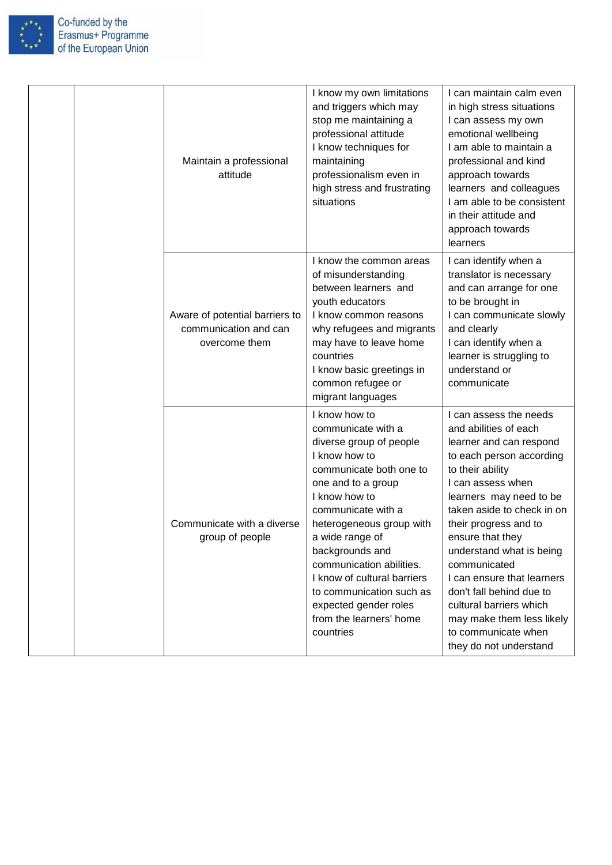

|  | Maintain a professional<br>attitude                                      | I know my own limitations<br>and triggers which may<br>stop me maintaining a<br>professional attitude<br>I know techniques for<br>maintaining<br>professionalism even in<br>high stress and frustrating<br>situations                                                                                                                                                                             | I can maintain calm even<br>in high stress situations<br>I can assess my own<br>emotional wellbeing<br>I am able to maintain a<br>professional and kind<br>approach towards<br>learners and colleagues<br>I am able to be consistent<br>in their attitude and<br>approach towards<br>learners                                                                                                                                                                        |
|--|--------------------------------------------------------------------------|---------------------------------------------------------------------------------------------------------------------------------------------------------------------------------------------------------------------------------------------------------------------------------------------------------------------------------------------------------------------------------------------------|----------------------------------------------------------------------------------------------------------------------------------------------------------------------------------------------------------------------------------------------------------------------------------------------------------------------------------------------------------------------------------------------------------------------------------------------------------------------|
|  | Aware of potential barriers to<br>communication and can<br>overcome them | I know the common areas<br>of misunderstanding<br>between learners and<br>youth educators<br>I know common reasons<br>why refugees and migrants<br>may have to leave home<br>countries<br>I know basic greetings in<br>common refugee or<br>migrant languages                                                                                                                                     | I can identify when a<br>translator is necessary<br>and can arrange for one<br>to be brought in<br>I can communicate slowly<br>and clearly<br>I can identify when a<br>learner is struggling to<br>understand or<br>communicate                                                                                                                                                                                                                                      |
|  | Communicate with a diverse<br>group of people                            | I know how to<br>communicate with a<br>diverse group of people<br>I know how to<br>communicate both one to<br>one and to a group<br>I know how to<br>communicate with a<br>heterogeneous group with<br>a wide range of<br>backgrounds and<br>communication abilities.<br>I know of cultural barriers<br>to communication such as<br>expected gender roles<br>from the learners' home<br>countries | I can assess the needs<br>and abilities of each<br>learner and can respond<br>to each person according<br>to their ability<br>I can assess when<br>learners may need to be<br>taken aside to check in on<br>their progress and to<br>ensure that they<br>understand what is being<br>communicated<br>I can ensure that learners<br>don't fall behind due to<br>cultural barriers which<br>may make them less likely<br>to communicate when<br>they do not understand |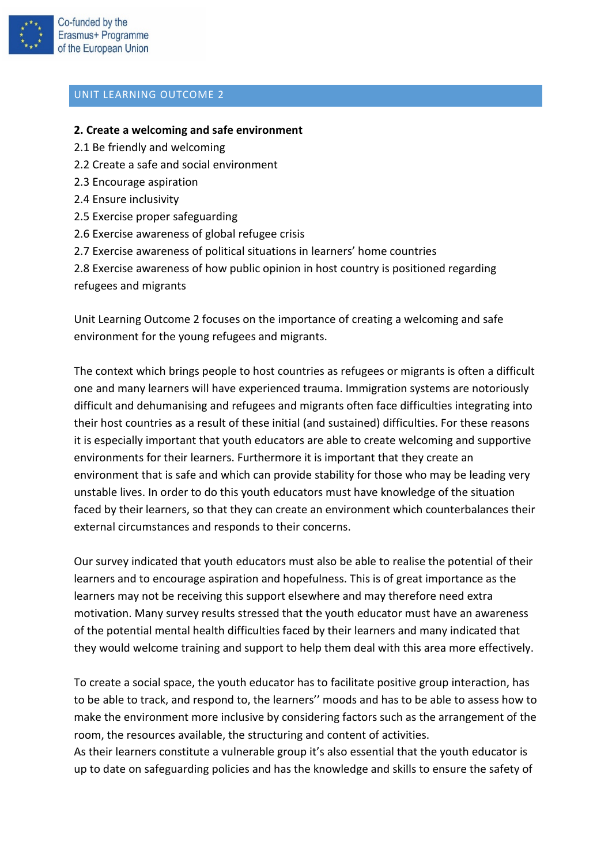

#### <span id="page-12-0"></span>**2. Create a welcoming and safe environment**

- 2.1 Be friendly and welcoming
- 2.2 Create a safe and social environment
- 2.3 Encourage aspiration
- 2.4 Ensure inclusivity
- 2.5 Exercise proper safeguarding
- 2.6 Exercise awareness of global refugee crisis
- 2.7 Exercise awareness of political situations in learners' home countries

2.8 Exercise awareness of how public opinion in host country is positioned regarding refugees and migrants

Unit Learning Outcome 2 focuses on the importance of creating a welcoming and safe environment for the young refugees and migrants.

The context which brings people to host countries as refugees or migrants is often a difficult one and many learners will have experienced trauma. Immigration systems are notoriously difficult and dehumanising and refugees and migrants often face difficulties integrating into their host countries as a result of these initial (and sustained) difficulties. For these reasons it is especially important that youth educators are able to create welcoming and supportive environments for their learners. Furthermore it is important that they create an environment that is safe and which can provide stability for those who may be leading very unstable lives. In order to do this youth educators must have knowledge of the situation faced by their learners, so that they can create an environment which counterbalances their external circumstances and responds to their concerns.

Our survey indicated that youth educators must also be able to realise the potential of their learners and to encourage aspiration and hopefulness. This is of great importance as the learners may not be receiving this support elsewhere and may therefore need extra motivation. Many survey results stressed that the youth educator must have an awareness of the potential mental health difficulties faced by their learners and many indicated that they would welcome training and support to help them deal with this area more effectively.

To create a social space, the youth educator has to facilitate positive group interaction, has to be able to track, and respond to, the learners'' moods and has to be able to assess how to make the environment more inclusive by considering factors such as the arrangement of the room, the resources available, the structuring and content of activities.

As their learners constitute a vulnerable group it's also essential that the youth educator is up to date on safeguarding policies and has the knowledge and skills to ensure the safety of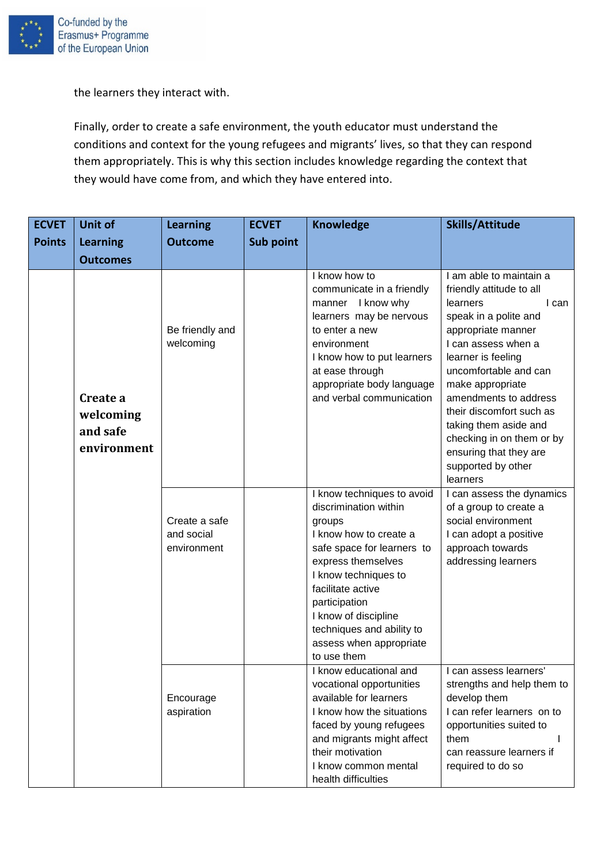

the learners they interact with.

Finally, order to create a safe environment, the youth educator must understand the conditions and context for the young refugees and migrants' lives, so that they can respond them appropriately. This is why this section includes knowledge regarding the context that they would have come from, and which they have entered into.

| <b>ECVET</b>  | <b>Unit of</b>                                   | <b>Learning</b>                            | <b>ECVET</b> | <b>Knowledge</b>                                                                                                                                                                                                                                                                                         | Skills/Attitude                                                                                                                                                                                                                                                                                                                                                                          |
|---------------|--------------------------------------------------|--------------------------------------------|--------------|----------------------------------------------------------------------------------------------------------------------------------------------------------------------------------------------------------------------------------------------------------------------------------------------------------|------------------------------------------------------------------------------------------------------------------------------------------------------------------------------------------------------------------------------------------------------------------------------------------------------------------------------------------------------------------------------------------|
| <b>Points</b> | <b>Learning</b>                                  | <b>Outcome</b>                             | Sub point    |                                                                                                                                                                                                                                                                                                          |                                                                                                                                                                                                                                                                                                                                                                                          |
|               | <b>Outcomes</b>                                  |                                            |              |                                                                                                                                                                                                                                                                                                          |                                                                                                                                                                                                                                                                                                                                                                                          |
|               | Create a<br>welcoming<br>and safe<br>environment | Be friendly and<br>welcoming               |              | I know how to<br>communicate in a friendly<br>manner I know why<br>learners may be nervous<br>to enter a new<br>environment<br>I know how to put learners<br>at ease through<br>appropriate body language<br>and verbal communication                                                                    | I am able to maintain a<br>friendly attitude to all<br>learners<br>I can<br>speak in a polite and<br>appropriate manner<br>I can assess when a<br>learner is feeling<br>uncomfortable and can<br>make appropriate<br>amendments to address<br>their discomfort such as<br>taking them aside and<br>checking in on them or by<br>ensuring that they are<br>supported by other<br>learners |
|               |                                                  | Create a safe<br>and social<br>environment |              | I know techniques to avoid<br>discrimination within<br>groups<br>I know how to create a<br>safe space for learners to<br>express themselves<br>I know techniques to<br>facilitate active<br>participation<br>I know of discipline<br>techniques and ability to<br>assess when appropriate<br>to use them | I can assess the dynamics<br>of a group to create a<br>social environment<br>I can adopt a positive<br>approach towards<br>addressing learners                                                                                                                                                                                                                                           |
|               |                                                  | Encourage<br>aspiration                    |              | I know educational and<br>vocational opportunities<br>available for learners<br>I know how the situations<br>faced by young refugees<br>and migrants might affect<br>their motivation<br>I know common mental<br>health difficulties                                                                     | I can assess learners'<br>strengths and help them to<br>develop them<br>I can refer learners on to<br>opportunities suited to<br>them<br>can reassure learners if<br>required to do so                                                                                                                                                                                                   |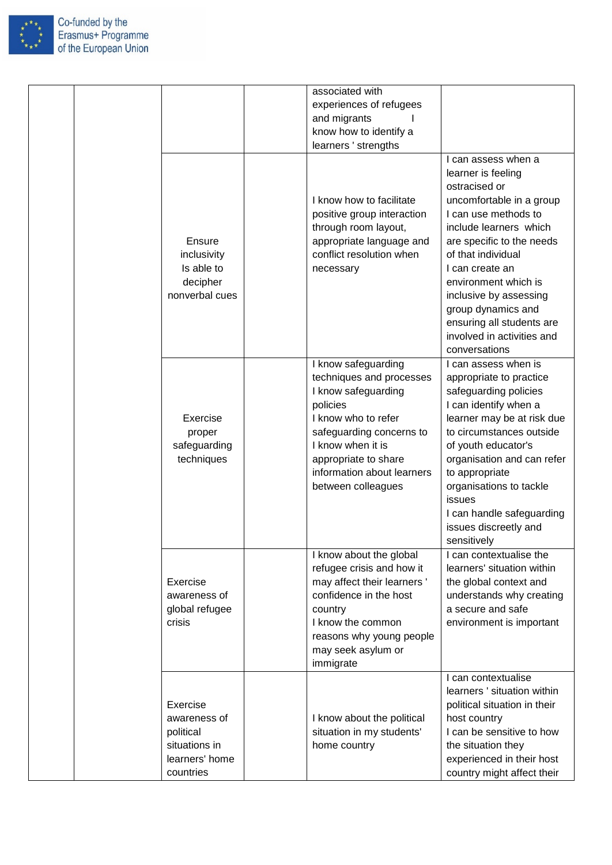

|  |                                                  |                                                                                                                                                                                                                                        | associated with<br>experiences of refugees<br>and migrants<br>know how to identify a<br>learners ' strengths                                                                                                                                                                                                                                 |                                                                                                                                                                                                                                                                                                                                                                    |
|--|--------------------------------------------------|----------------------------------------------------------------------------------------------------------------------------------------------------------------------------------------------------------------------------------------|----------------------------------------------------------------------------------------------------------------------------------------------------------------------------------------------------------------------------------------------------------------------------------------------------------------------------------------------|--------------------------------------------------------------------------------------------------------------------------------------------------------------------------------------------------------------------------------------------------------------------------------------------------------------------------------------------------------------------|
|  |                                                  | Ensure<br>inclusivity<br>Is able to<br>decipher<br>nonverbal cues                                                                                                                                                                      | I know how to facilitate<br>positive group interaction<br>through room layout,<br>appropriate language and<br>conflict resolution when<br>necessary                                                                                                                                                                                          | I can assess when a<br>learner is feeling<br>ostracised or<br>uncomfortable in a group<br>I can use methods to<br>include learners which<br>are specific to the needs<br>of that individual<br>I can create an<br>environment which is<br>inclusive by assessing<br>group dynamics and<br>ensuring all students are<br>involved in activities and<br>conversations |
|  | Exercise<br>proper<br>safeguarding<br>techniques | I know safeguarding<br>techniques and processes<br>I know safeguarding<br>policies<br>I know who to refer<br>safeguarding concerns to<br>I know when it is<br>appropriate to share<br>information about learners<br>between colleagues | I can assess when is<br>appropriate to practice<br>safeguarding policies<br>I can identify when a<br>learner may be at risk due<br>to circumstances outside<br>of youth educator's<br>organisation and can refer<br>to appropriate<br>organisations to tackle<br>issues<br>I can handle safeguarding<br>issues discreetly and<br>sensitively |                                                                                                                                                                                                                                                                                                                                                                    |
|  |                                                  | Exercise<br>awareness of<br>global refugee<br>crisis                                                                                                                                                                                   | I know about the global<br>refugee crisis and how it<br>may affect their learners'<br>confidence in the host<br>country<br>I know the common<br>reasons why young people<br>may seek asylum or<br>immigrate                                                                                                                                  | I can contextualise the<br>learners' situation within<br>the global context and<br>understands why creating<br>a secure and safe<br>environment is important                                                                                                                                                                                                       |
|  |                                                  | Exercise<br>awareness of<br>political<br>situations in<br>learners' home<br>countries                                                                                                                                                  | I know about the political<br>situation in my students'<br>home country                                                                                                                                                                                                                                                                      | I can contextualise<br>learners ' situation within<br>political situation in their<br>host country<br>I can be sensitive to how<br>the situation they<br>experienced in their host<br>country might affect their                                                                                                                                                   |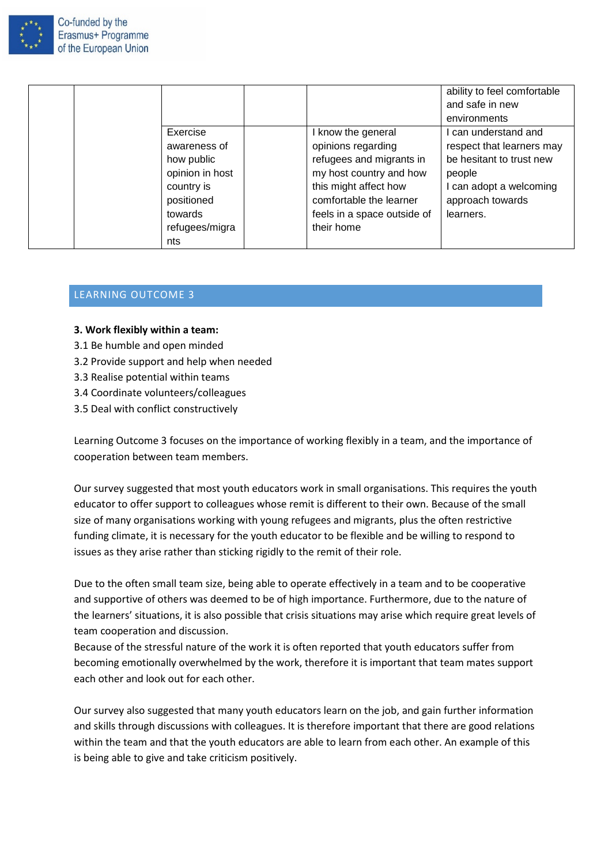

|                 |                             | ability to feel comfortable<br>and safe in new |
|-----------------|-----------------------------|------------------------------------------------|
|                 |                             | environments                                   |
| Exercise        | I know the general          | I can understand and                           |
| awareness of    | opinions regarding          | respect that learners may                      |
| how public      | refugees and migrants in    | be hesitant to trust new                       |
| opinion in host | my host country and how     | people                                         |
| country is      | this might affect how       | I can adopt a welcoming                        |
| positioned      | comfortable the learner     | approach towards                               |
| towards         | feels in a space outside of | learners.                                      |
| refugees/migra  | their home                  |                                                |
| nts             |                             |                                                |

# <span id="page-15-0"></span>LEARNING OUTCOME 3

#### **3. Work flexibly within a team:**

- 3.1 Be humble and open minded
- 3.2 Provide support and help when needed
- 3.3 Realise potential within teams
- 3.4 Coordinate volunteers/colleagues
- 3.5 Deal with conflict constructively

Learning Outcome 3 focuses on the importance of working flexibly in a team, and the importance of cooperation between team members.

Our survey suggested that most youth educators work in small organisations. This requires the youth educator to offer support to colleagues whose remit is different to their own. Because of the small size of many organisations working with young refugees and migrants, plus the often restrictive funding climate, it is necessary for the youth educator to be flexible and be willing to respond to issues as they arise rather than sticking rigidly to the remit of their role.

Due to the often small team size, being able to operate effectively in a team and to be cooperative and supportive of others was deemed to be of high importance. Furthermore, due to the nature of the learners' situations, it is also possible that crisis situations may arise which require great levels of team cooperation and discussion.

Because of the stressful nature of the work it is often reported that youth educators suffer from becoming emotionally overwhelmed by the work, therefore it is important that team mates support each other and look out for each other.

Our survey also suggested that many youth educators learn on the job, and gain further information and skills through discussions with colleagues. It is therefore important that there are good relations within the team and that the youth educators are able to learn from each other. An example of this is being able to give and take criticism positively.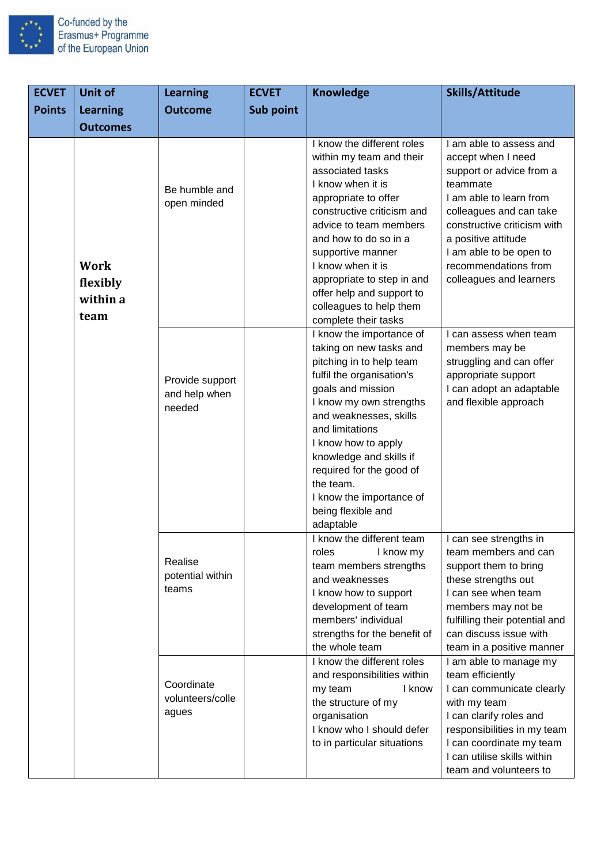

| <b>ECVET</b>  | Unit of                                     | <b>Learning</b>                            | <b>ECVET</b> | <b>Knowledge</b>                                                                                                                                                                                                                                                                                                                                                    | Skills/Attitude                                                                                                                                                                                                                                                                    |
|---------------|---------------------------------------------|--------------------------------------------|--------------|---------------------------------------------------------------------------------------------------------------------------------------------------------------------------------------------------------------------------------------------------------------------------------------------------------------------------------------------------------------------|------------------------------------------------------------------------------------------------------------------------------------------------------------------------------------------------------------------------------------------------------------------------------------|
| <b>Points</b> | <b>Learning</b>                             | <b>Outcome</b>                             | Sub point    |                                                                                                                                                                                                                                                                                                                                                                     |                                                                                                                                                                                                                                                                                    |
|               | <b>Outcomes</b>                             |                                            |              |                                                                                                                                                                                                                                                                                                                                                                     |                                                                                                                                                                                                                                                                                    |
|               | <b>Work</b><br>flexibly<br>within a<br>team | Be humble and<br>open minded               |              | I know the different roles<br>within my team and their<br>associated tasks<br>I know when it is<br>appropriate to offer<br>constructive criticism and<br>advice to team members<br>and how to do so in a<br>supportive manner<br>I know when it is<br>appropriate to step in and<br>offer help and support to<br>colleagues to help them<br>complete their tasks    | I am able to assess and<br>accept when I need<br>support or advice from a<br>teammate<br>I am able to learn from<br>colleagues and can take<br>constructive criticism with<br>a positive attitude<br>I am able to be open to<br>recommendations from<br>colleagues and learners    |
|               |                                             | Provide support<br>and help when<br>needed |              | I know the importance of<br>taking on new tasks and<br>pitching in to help team<br>fulfil the organisation's<br>goals and mission<br>I know my own strengths<br>and weaknesses, skills<br>and limitations<br>I know how to apply<br>knowledge and skills if<br>required for the good of<br>the team.<br>I know the importance of<br>being flexible and<br>adaptable | I can assess when team<br>members may be<br>struggling and can offer<br>appropriate support<br>I can adopt an adaptable<br>and flexible approach                                                                                                                                   |
|               |                                             | Realise<br>potential within<br>teams       |              | I know the different team<br>roles<br>I know my<br>team members strengths<br>and weaknesses<br>I know how to support<br>development of team<br>members' individual<br>strengths for the benefit of<br>the whole team<br>I know the different roles<br>and responsibilities within                                                                                   | I can see strengths in<br>team members and can<br>support them to bring<br>these strengths out<br>I can see when team<br>members may not be<br>fulfilling their potential and<br>can discuss issue with<br>team in a positive manner<br>I am able to manage my<br>team efficiently |
|               |                                             | Coordinate<br>volunteers/colle<br>agues    |              | my team<br>I know<br>the structure of my<br>organisation<br>I know who I should defer<br>to in particular situations                                                                                                                                                                                                                                                | I can communicate clearly<br>with my team<br>I can clarify roles and<br>responsibilities in my team<br>I can coordinate my team<br>I can utilise skills within<br>team and volunteers to                                                                                           |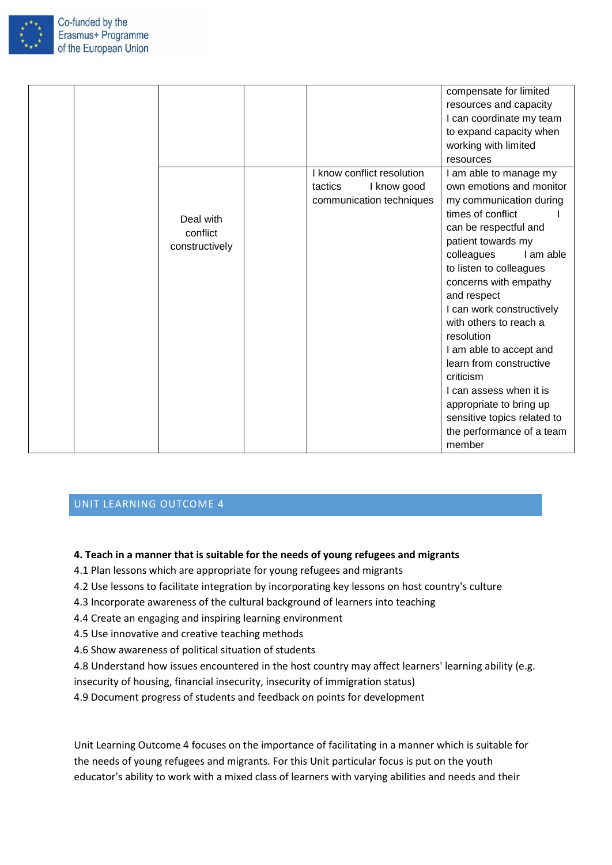

|  |                                         |         |                                                                       | compensate for limited<br>resources and capacity<br>I can coordinate my team<br>to expand capacity when<br>working with limited<br>resources                                                                                                                                                                                                                                                                                                                                                                        |  |
|--|-----------------------------------------|---------|-----------------------------------------------------------------------|---------------------------------------------------------------------------------------------------------------------------------------------------------------------------------------------------------------------------------------------------------------------------------------------------------------------------------------------------------------------------------------------------------------------------------------------------------------------------------------------------------------------|--|
|  | Deal with<br>conflict<br>constructively | tactics | I know conflict resolution<br>I know good<br>communication techniques | I am able to manage my<br>own emotions and monitor<br>my communication during<br>times of conflict<br>can be respectful and<br>patient towards my<br>colleagues<br>I am able<br>to listen to colleagues<br>concerns with empathy<br>and respect<br>I can work constructively<br>with others to reach a<br>resolution<br>I am able to accept and<br>learn from constructive<br>criticism<br>I can assess when it is<br>appropriate to bring up<br>sensitive topics related to<br>the performance of a team<br>member |  |

#### <span id="page-17-0"></span>**4. Teach in a manner that is suitable for the needs of young refugees and migrants**

- 4.1 Plan lessons which are appropriate for young refugees and migrants
- 4.2 Use lessons to facilitate integration by incorporating key lessons on host country's culture
- 4.3 Incorporate awareness of the cultural background of learners into teaching
- 4.4 Create an engaging and inspiring learning environment
- 4.5 Use innovative and creative teaching methods
- 4.6 Show awareness of political situation of students
- 4.8 Understand how issues encountered in the host country may affect learners' learning ability (e.g.
- insecurity of housing, financial insecurity, insecurity of immigration status)
- 4.9 Document progress of students and feedback on points for development

Unit Learning Outcome 4 focuses on the importance of facilitating in a manner which is suitable for the needs of young refugees and migrants. For this Unit particular focus is put on the youth educator's ability to work with a mixed class of learners with varying abilities and needs and their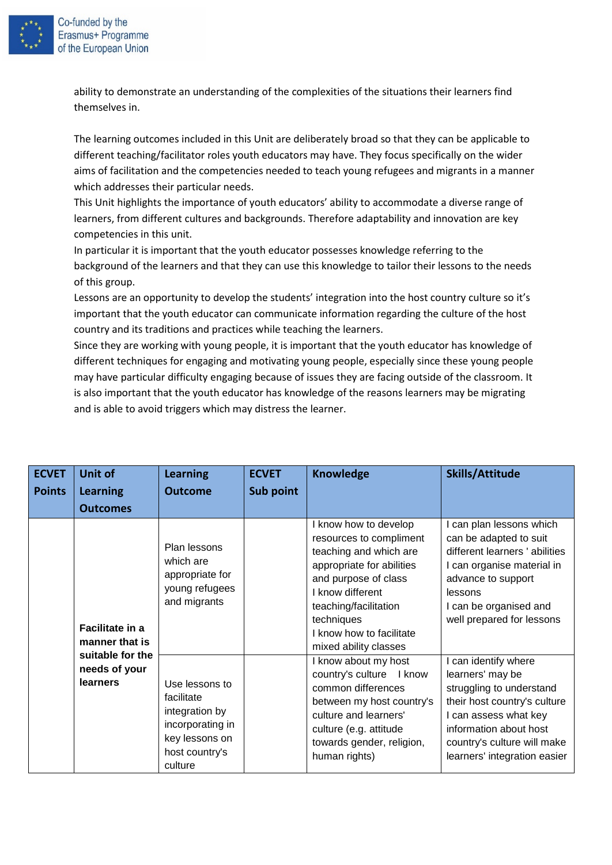

Erasmus+ Programme of the European Union

> ability to demonstrate an understanding of the complexities of the situations their learners find themselves in.

The learning outcomes included in this Unit are deliberately broad so that they can be applicable to different teaching/facilitator roles youth educators may have. They focus specifically on the wider aims of facilitation and the competencies needed to teach young refugees and migrants in a manner which addresses their particular needs.

This Unit highlights the importance of youth educators' ability to accommodate a diverse range of learners, from different cultures and backgrounds. Therefore adaptability and innovation are key competencies in this unit.

In particular it is important that the youth educator possesses knowledge referring to the background of the learners and that they can use this knowledge to tailor their lessons to the needs of this group.

Lessons are an opportunity to develop the students' integration into the host country culture so it's important that the youth educator can communicate information regarding the culture of the host country and its traditions and practices while teaching the learners.

Since they are working with young people, it is important that the youth educator has knowledge of different techniques for engaging and motivating young people, especially since these young people may have particular difficulty engaging because of issues they are facing outside of the classroom. It is also important that the youth educator has knowledge of the reasons learners may be migrating and is able to avoid triggers which may distress the learner.

| <b>ECVET</b>  | Unit of                                               | <b>Learning</b>                                                                                                   | <b>ECVET</b> | <b>Knowledge</b>                                                                                                                                                                                                                              | <b>Skills/Attitude</b>                                                                                                                                                                                                 |
|---------------|-------------------------------------------------------|-------------------------------------------------------------------------------------------------------------------|--------------|-----------------------------------------------------------------------------------------------------------------------------------------------------------------------------------------------------------------------------------------------|------------------------------------------------------------------------------------------------------------------------------------------------------------------------------------------------------------------------|
| <b>Points</b> | <b>Learning</b>                                       | <b>Outcome</b>                                                                                                    | Sub point    |                                                                                                                                                                                                                                               |                                                                                                                                                                                                                        |
|               | <b>Outcomes</b>                                       |                                                                                                                   |              |                                                                                                                                                                                                                                               |                                                                                                                                                                                                                        |
|               | Facilitate in a<br>manner that is<br>suitable for the | Plan lessons<br>which are<br>appropriate for<br>young refugees<br>and migrants                                    |              | I know how to develop<br>resources to compliment<br>teaching and which are<br>appropriate for abilities<br>and purpose of class<br>I know different<br>teaching/facilitation<br>techniques<br>know how to facilitate<br>mixed ability classes | I can plan lessons which<br>can be adapted to suit<br>different learners ' abilities<br>I can organise material in<br>advance to support<br>lessons<br>I can be organised and<br>well prepared for lessons             |
|               | needs of your<br><b>learners</b>                      | Use lessons to<br>facilitate<br>integration by<br>incorporating in<br>key lessons on<br>host country's<br>culture |              | I know about my host<br>country's culture I know<br>common differences<br>between my host country's<br>culture and learners'<br>culture (e.g. attitude<br>towards gender, religion,<br>human rights)                                          | I can identify where<br>learners' may be<br>struggling to understand<br>their host country's culture<br>I can assess what key<br>information about host<br>country's culture will make<br>learners' integration easier |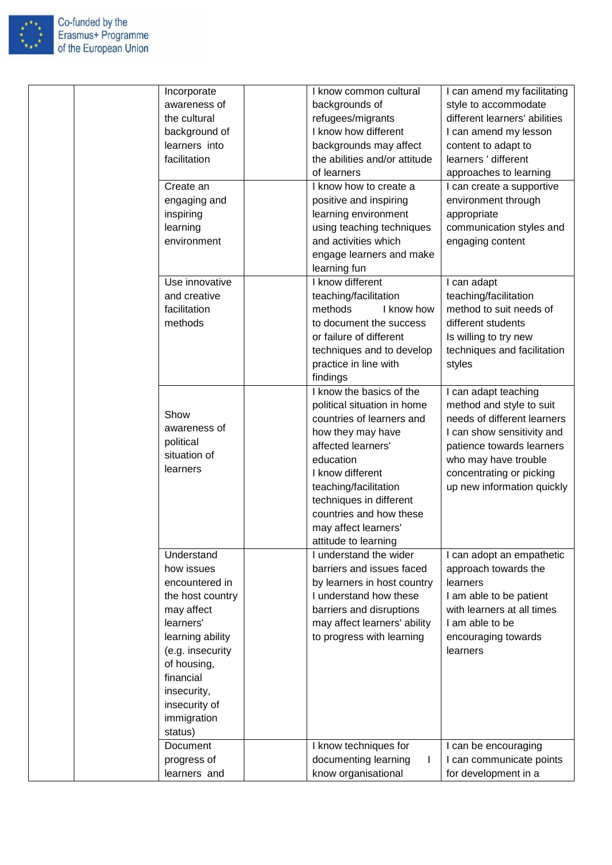

| Incorporate<br>awareness of<br>the cultural<br>background of<br>learners into<br>facilitation<br>Create an<br>engaging and<br>inspiring<br>learning<br>environment<br>Use innovative                                    | I know common cultural<br>backgrounds of<br>refugees/migrants<br>I know how different<br>backgrounds may affect<br>the abilities and/or attitude<br>of learners<br>I know how to create a<br>positive and inspiring<br>learning environment<br>using teaching techniques<br>and activities which<br>engage learners and make<br>learning fun<br>I know different | I can amend my facilitating<br>style to accommodate<br>different learners' abilities<br>I can amend my lesson<br>content to adapt to<br>learners ' different<br>approaches to learning<br>I can create a supportive<br>environment through<br>appropriate<br>communication styles and<br>engaging content<br>I can adapt |
|-------------------------------------------------------------------------------------------------------------------------------------------------------------------------------------------------------------------------|------------------------------------------------------------------------------------------------------------------------------------------------------------------------------------------------------------------------------------------------------------------------------------------------------------------------------------------------------------------|--------------------------------------------------------------------------------------------------------------------------------------------------------------------------------------------------------------------------------------------------------------------------------------------------------------------------|
| and creative<br>facilitation<br>methods                                                                                                                                                                                 | teaching/facilitation<br>methods<br>I know how<br>to document the success<br>or failure of different<br>techniques and to develop<br>practice in line with<br>findings                                                                                                                                                                                           | teaching/facilitation<br>method to suit needs of<br>different students<br>Is willing to try new<br>techniques and facilitation<br>styles                                                                                                                                                                                 |
| Show<br>awareness of<br>political<br>situation of<br>learners                                                                                                                                                           | I know the basics of the<br>political situation in home<br>countries of learners and<br>how they may have<br>affected learners'<br>education<br>I know different<br>teaching/facilitation<br>techniques in different<br>countries and how these<br>may affect learners'<br>attitude to learning                                                                  | I can adapt teaching<br>method and style to suit<br>needs of different learners<br>I can show sensitivity and<br>patience towards learners<br>who may have trouble<br>concentrating or picking<br>up new information quickly                                                                                             |
| Understand<br>how issues<br>encountered in<br>the host country<br>may affect<br>learners'<br>learning ability<br>(e.g. insecurity<br>of housing,<br>financial<br>insecurity,<br>insecurity of<br>immigration<br>status) | I understand the wider<br>barriers and issues faced<br>by learners in host country<br>I understand how these<br>barriers and disruptions<br>may affect learners' ability<br>to progress with learning                                                                                                                                                            | I can adopt an empathetic<br>approach towards the<br>learners<br>I am able to be patient<br>with learners at all times<br>I am able to be<br>encouraging towards<br>learners                                                                                                                                             |
| Document<br>progress of<br>learners and                                                                                                                                                                                 | I know techniques for<br>documenting learning<br>know organisational                                                                                                                                                                                                                                                                                             | I can be encouraging<br>I can communicate points<br>for development in a                                                                                                                                                                                                                                                 |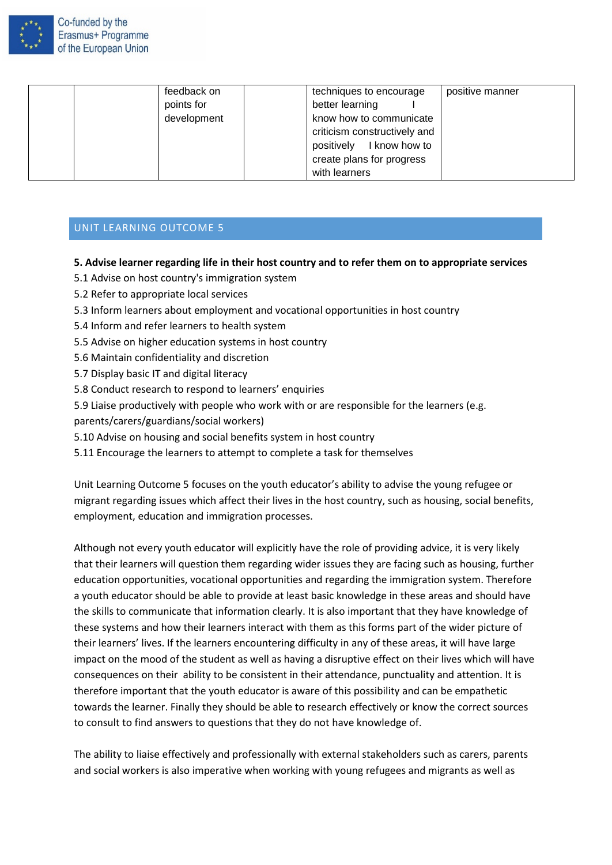

| feedback on | techniques to encourage      | positive manner |
|-------------|------------------------------|-----------------|
| points for  | better learning              |                 |
| development | know how to communicate      |                 |
|             | criticism constructively and |                 |
|             | positively I know how to     |                 |
|             | create plans for progress    |                 |
|             | with learners                |                 |

#### <span id="page-20-0"></span>**5. Advise learner regarding life in their host country and to refer them on to appropriate services**

- 5.1 Advise on host country's immigration system
- 5.2 Refer to appropriate local services
- 5.3 Inform learners about employment and vocational opportunities in host country
- 5.4 Inform and refer learners to health system
- 5.5 Advise on higher education systems in host country
- 5.6 Maintain confidentiality and discretion
- 5.7 Display basic IT and digital literacy
- 5.8 Conduct research to respond to learners' enquiries
- 5.9 Liaise productively with people who work with or are responsible for the learners (e.g.
- parents/carers/guardians/social workers)
- 5.10 Advise on housing and social benefits system in host country
- 5.11 Encourage the learners to attempt to complete a task for themselves

Unit Learning Outcome 5 focuses on the youth educator's ability to advise the young refugee or migrant regarding issues which affect their lives in the host country, such as housing, social benefits, employment, education and immigration processes.

Although not every youth educator will explicitly have the role of providing advice, it is very likely that their learners will question them regarding wider issues they are facing such as housing, further education opportunities, vocational opportunities and regarding the immigration system. Therefore a youth educator should be able to provide at least basic knowledge in these areas and should have the skills to communicate that information clearly. It is also important that they have knowledge of these systems and how their learners interact with them as this forms part of the wider picture of their learners' lives. If the learners encountering difficulty in any of these areas, it will have large impact on the mood of the student as well as having a disruptive effect on their lives which will have consequences on their ability to be consistent in their attendance, punctuality and attention. It is therefore important that the youth educator is aware of this possibility and can be empathetic towards the learner. Finally they should be able to research effectively or know the correct sources to consult to find answers to questions that they do not have knowledge of.

The ability to liaise effectively and professionally with external stakeholders such as carers, parents and social workers is also imperative when working with young refugees and migrants as well as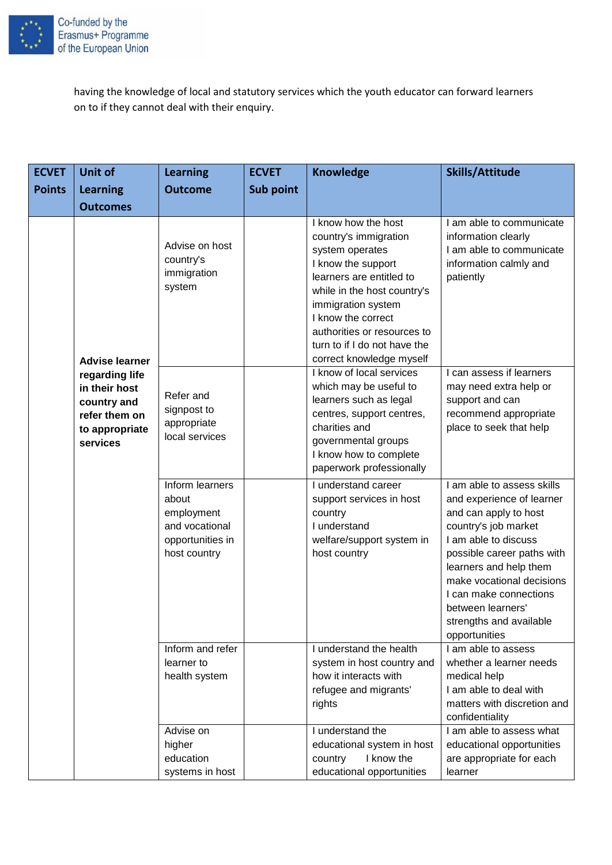

having the knowledge of local and statutory services which the youth educator can forward learners on to if they cannot deal with their enquiry.

| <b>ECVET</b>  | Unit of                                                                                       | <b>Learning</b>                                                                              | <b>ECVET</b> | <b>Knowledge</b>                                                                                                                                                                                                                                                                        | <b>Skills/Attitude</b>                                                                                                                                                                                                                                                                                           |
|---------------|-----------------------------------------------------------------------------------------------|----------------------------------------------------------------------------------------------|--------------|-----------------------------------------------------------------------------------------------------------------------------------------------------------------------------------------------------------------------------------------------------------------------------------------|------------------------------------------------------------------------------------------------------------------------------------------------------------------------------------------------------------------------------------------------------------------------------------------------------------------|
| <b>Points</b> | <b>Learning</b>                                                                               | <b>Outcome</b>                                                                               | Sub point    |                                                                                                                                                                                                                                                                                         |                                                                                                                                                                                                                                                                                                                  |
|               | <b>Outcomes</b>                                                                               |                                                                                              |              |                                                                                                                                                                                                                                                                                         |                                                                                                                                                                                                                                                                                                                  |
|               | <b>Advise learner</b>                                                                         | Advise on host<br>country's<br>immigration<br>system                                         |              | I know how the host<br>country's immigration<br>system operates<br>I know the support<br>learners are entitled to<br>while in the host country's<br>immigration system<br>I know the correct<br>authorities or resources to<br>turn to if I do not have the<br>correct knowledge myself | I am able to communicate<br>information clearly<br>I am able to communicate<br>information calmly and<br>patiently                                                                                                                                                                                               |
|               | regarding life<br>in their host<br>country and<br>refer them on<br>to appropriate<br>services | Refer and<br>signpost to<br>appropriate<br>local services                                    |              | I know of local services<br>which may be useful to<br>learners such as legal<br>centres, support centres,<br>charities and<br>governmental groups<br>I know how to complete<br>paperwork professionally                                                                                 | I can assess if learners<br>may need extra help or<br>support and can<br>recommend appropriate<br>place to seek that help                                                                                                                                                                                        |
|               |                                                                                               | Inform learners<br>about<br>employment<br>and vocational<br>opportunities in<br>host country |              | I understand career<br>support services in host<br>country<br>I understand<br>welfare/support system in<br>host country                                                                                                                                                                 | I am able to assess skills<br>and experience of learner<br>and can apply to host<br>country's job market<br>I am able to discuss<br>possible career paths with<br>learners and help them<br>make vocational decisions<br>I can make connections<br>between learners'<br>strengths and available<br>opportunities |
|               |                                                                                               | Inform and refer<br>learner to<br>health system                                              |              | I understand the health<br>system in host country and<br>how it interacts with<br>refugee and migrants'<br>rights                                                                                                                                                                       | $\overline{I}$ am able to assess<br>whether a learner needs<br>medical help<br>I am able to deal with<br>matters with discretion and<br>confidentiality                                                                                                                                                          |
|               |                                                                                               | Advise on<br>higher<br>education<br>systems in host                                          |              | I understand the<br>educational system in host<br>I know the<br>country<br>educational opportunities                                                                                                                                                                                    | I am able to assess what<br>educational opportunities<br>are appropriate for each<br>learner                                                                                                                                                                                                                     |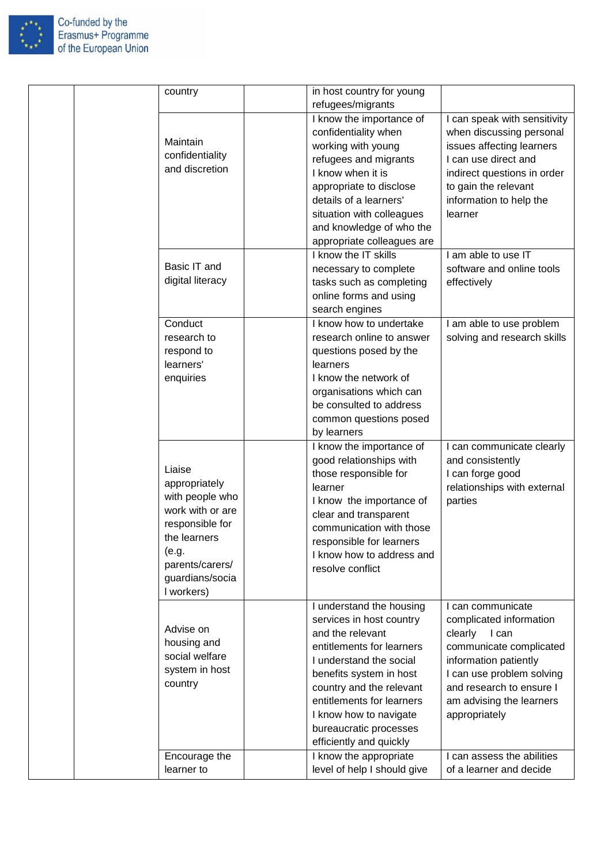

| country                                                                                                                                                        | in host country for young<br>refugees/migrants                                                                                                                                                                                                                                                      |                                                                                                                                                                                                                            |
|----------------------------------------------------------------------------------------------------------------------------------------------------------------|-----------------------------------------------------------------------------------------------------------------------------------------------------------------------------------------------------------------------------------------------------------------------------------------------------|----------------------------------------------------------------------------------------------------------------------------------------------------------------------------------------------------------------------------|
| Maintain<br>confidentiality<br>and discretion                                                                                                                  | I know the importance of<br>confidentiality when<br>working with young<br>refugees and migrants<br>I know when it is<br>appropriate to disclose<br>details of a learners'<br>situation with colleagues<br>and knowledge of who the<br>appropriate colleagues are                                    | I can speak with sensitivity<br>when discussing personal<br>issues affecting learners<br>I can use direct and<br>indirect questions in order<br>to gain the relevant<br>information to help the<br>learner                 |
| Basic IT and<br>digital literacy                                                                                                                               | I know the IT skills<br>necessary to complete<br>tasks such as completing<br>online forms and using<br>search engines                                                                                                                                                                               | I am able to use IT<br>software and online tools<br>effectively                                                                                                                                                            |
| Conduct<br>research to<br>respond to<br>learners'<br>enquiries                                                                                                 | I know how to undertake<br>research online to answer<br>questions posed by the<br>learners<br>I know the network of<br>organisations which can<br>be consulted to address<br>common questions posed<br>by learners                                                                                  | I am able to use problem<br>solving and research skills                                                                                                                                                                    |
| Liaise<br>appropriately<br>with people who<br>work with or are<br>responsible for<br>the learners<br>(e.g.<br>parents/carers/<br>guardians/socia<br>I workers) | I know the importance of<br>good relationships with<br>those responsible for<br>learner<br>I know the importance of<br>clear and transparent<br>communication with those<br>responsible for learners<br>I know how to address and<br>resolve conflict                                               | I can communicate clearly<br>and consistently<br>I can forge good<br>relationships with external<br>parties                                                                                                                |
| Advise on<br>housing and<br>social welfare<br>system in host<br>country                                                                                        | I understand the housing<br>services in host country<br>and the relevant<br>entitlements for learners<br>I understand the social<br>benefits system in host<br>country and the relevant<br>entitlements for learners<br>I know how to navigate<br>bureaucratic processes<br>efficiently and quickly | I can communicate<br>complicated information<br>clearly<br>I can<br>communicate complicated<br>information patiently<br>I can use problem solving<br>and research to ensure I<br>am advising the learners<br>appropriately |
| Encourage the<br>learner to                                                                                                                                    | I know the appropriate<br>level of help I should give                                                                                                                                                                                                                                               | I can assess the abilities<br>of a learner and decide                                                                                                                                                                      |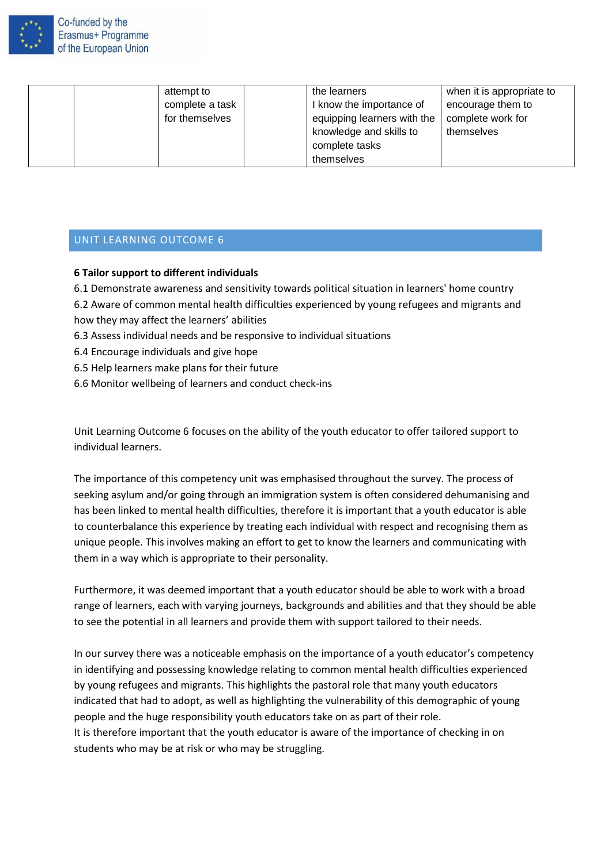

| attempt to      | the learners                | when it is appropriate to |
|-----------------|-----------------------------|---------------------------|
| complete a task | I know the importance of    | encourage them to         |
| for themselves  | equipping learners with the | complete work for         |
|                 | knowledge and skills to     | themselves                |
|                 | complete tasks              |                           |
|                 | themselves                  |                           |

#### <span id="page-23-0"></span>**6 Tailor support to different individuals**

- 6.1 Demonstrate awareness and sensitivity towards political situation in learners' home country
- 6.2 Aware of common mental health difficulties experienced by young refugees and migrants and how they may affect the learners' abilities
- 6.3 Assess individual needs and be responsive to individual situations
- 6.4 Encourage individuals and give hope
- 6.5 Help learners make plans for their future
- 6.6 Monitor wellbeing of learners and conduct check-ins

Unit Learning Outcome 6 focuses on the ability of the youth educator to offer tailored support to individual learners.

The importance of this competency unit was emphasised throughout the survey. The process of seeking asylum and/or going through an immigration system is often considered dehumanising and has been linked to mental health difficulties, therefore it is important that a youth educator is able to counterbalance this experience by treating each individual with respect and recognising them as unique people. This involves making an effort to get to know the learners and communicating with them in a way which is appropriate to their personality.

Furthermore, it was deemed important that a youth educator should be able to work with a broad range of learners, each with varying journeys, backgrounds and abilities and that they should be able to see the potential in all learners and provide them with support tailored to their needs.

In our survey there was a noticeable emphasis on the importance of a youth educator's competency in identifying and possessing knowledge relating to common mental health difficulties experienced by young refugees and migrants. This highlights the pastoral role that many youth educators indicated that had to adopt, as well as highlighting the vulnerability of this demographic of young people and the huge responsibility youth educators take on as part of their role. It is therefore important that the youth educator is aware of the importance of checking in on students who may be at risk or who may be struggling.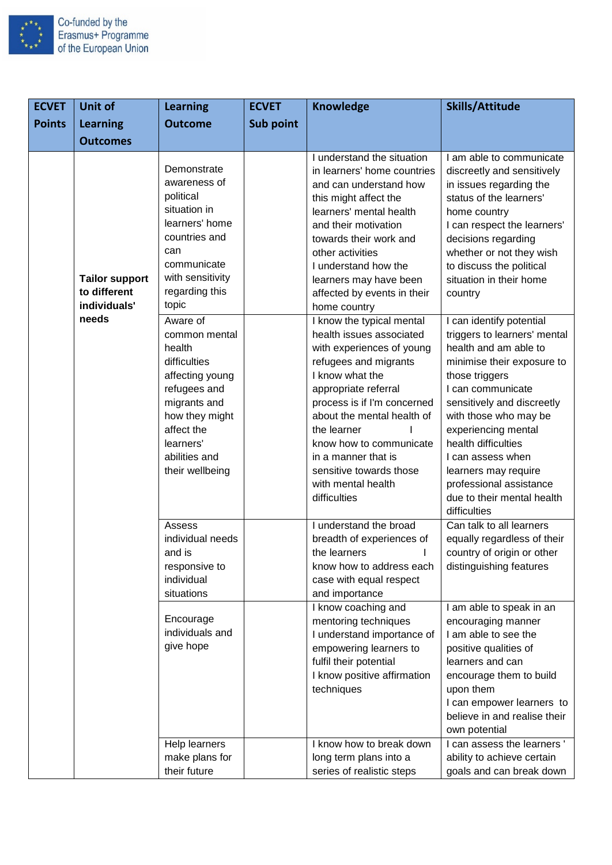

| <b>ECVET</b>  | <b>Unit of</b>                                        | <b>Learning</b>                                                                                                                                                                         | <b>ECVET</b>     | <b>Knowledge</b>                                                                                                                                                                                                                                                                                                                                      | <b>Skills/Attitude</b>                                                                                                                                                                                                                                                                                                                                                            |
|---------------|-------------------------------------------------------|-----------------------------------------------------------------------------------------------------------------------------------------------------------------------------------------|------------------|-------------------------------------------------------------------------------------------------------------------------------------------------------------------------------------------------------------------------------------------------------------------------------------------------------------------------------------------------------|-----------------------------------------------------------------------------------------------------------------------------------------------------------------------------------------------------------------------------------------------------------------------------------------------------------------------------------------------------------------------------------|
| <b>Points</b> | <b>Learning</b>                                       | <b>Outcome</b>                                                                                                                                                                          | <b>Sub point</b> |                                                                                                                                                                                                                                                                                                                                                       |                                                                                                                                                                                                                                                                                                                                                                                   |
|               | <b>Outcomes</b>                                       |                                                                                                                                                                                         |                  |                                                                                                                                                                                                                                                                                                                                                       |                                                                                                                                                                                                                                                                                                                                                                                   |
|               | <b>Tailor support</b><br>to different<br>individuals' | Demonstrate<br>awareness of<br>political<br>situation in<br>learners' home<br>countries and<br>can<br>communicate<br>with sensitivity<br>regarding this<br>topic                        |                  | I understand the situation<br>in learners' home countries<br>and can understand how<br>this might affect the<br>learners' mental health<br>and their motivation<br>towards their work and<br>other activities<br>I understand how the<br>learners may have been<br>affected by events in their<br>home country                                        | I am able to communicate<br>discreetly and sensitively<br>in issues regarding the<br>status of the learners'<br>home country<br>I can respect the learners'<br>decisions regarding<br>whether or not they wish<br>to discuss the political<br>situation in their home<br>country                                                                                                  |
|               | needs                                                 | Aware of<br>common mental<br>health<br>difficulties<br>affecting young<br>refugees and<br>migrants and<br>how they might<br>affect the<br>learners'<br>abilities and<br>their wellbeing |                  | I know the typical mental<br>health issues associated<br>with experiences of young<br>refugees and migrants<br>I know what the<br>appropriate referral<br>process is if I'm concerned<br>about the mental health of<br>the learner<br>know how to communicate<br>in a manner that is<br>sensitive towards those<br>with mental health<br>difficulties | I can identify potential<br>triggers to learners' mental<br>health and am able to<br>minimise their exposure to<br>those triggers<br>I can communicate<br>sensitively and discreetly<br>with those who may be<br>experiencing mental<br>health difficulties<br>I can assess when<br>learners may require<br>professional assistance<br>due to their mental health<br>difficulties |
|               |                                                       | Assess<br>individual needs<br>and is<br>responsive to<br>individual<br>situations                                                                                                       |                  | I understand the broad<br>breadth of experiences of<br>the learners<br>know how to address each<br>case with equal respect<br>and importance                                                                                                                                                                                                          | Can talk to all learners<br>equally regardless of their<br>country of origin or other<br>distinguishing features                                                                                                                                                                                                                                                                  |
|               |                                                       | Encourage<br>individuals and<br>give hope                                                                                                                                               |                  | I know coaching and<br>mentoring techniques<br>I understand importance of<br>empowering learners to<br>fulfil their potential<br>I know positive affirmation<br>techniques                                                                                                                                                                            | I am able to speak in an<br>encouraging manner<br>I am able to see the<br>positive qualities of<br>learners and can<br>encourage them to build<br>upon them<br>I can empower learners to<br>believe in and realise their<br>own potential                                                                                                                                         |
|               |                                                       | Help learners<br>make plans for<br>their future                                                                                                                                         |                  | I know how to break down<br>long term plans into a<br>series of realistic steps                                                                                                                                                                                                                                                                       | I can assess the learners'<br>ability to achieve certain<br>goals and can break down                                                                                                                                                                                                                                                                                              |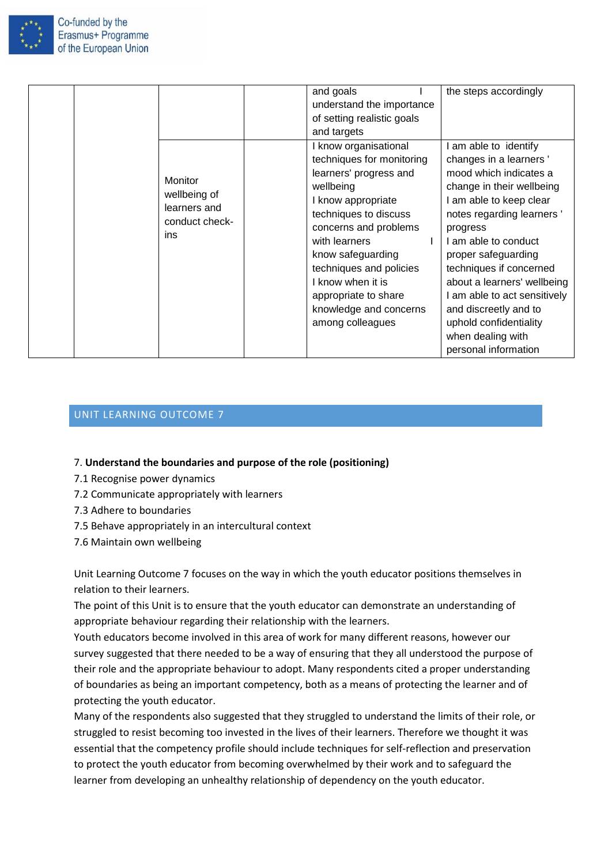

|                                                                         | and goals<br>understand the importance<br>of setting realistic goals                                                                                                                                                                                                                                                                         | the steps accordingly                                                                                                                                                                                                                                                                                                                                                                     |
|-------------------------------------------------------------------------|----------------------------------------------------------------------------------------------------------------------------------------------------------------------------------------------------------------------------------------------------------------------------------------------------------------------------------------------|-------------------------------------------------------------------------------------------------------------------------------------------------------------------------------------------------------------------------------------------------------------------------------------------------------------------------------------------------------------------------------------------|
| <b>Monitor</b><br>wellbeing of<br>learners and<br>conduct check-<br>ins | and targets<br>I know organisational<br>techniques for monitoring<br>learners' progress and<br>wellbeing<br>I know appropriate<br>techniques to discuss<br>concerns and problems<br>with learners<br>know safeguarding<br>techniques and policies<br>I know when it is<br>appropriate to share<br>knowledge and concerns<br>among colleagues | am able to identify<br>changes in a learners'<br>mood which indicates a<br>change in their wellbeing<br>I am able to keep clear<br>notes regarding learners'<br>progress<br>I am able to conduct<br>proper safeguarding<br>techniques if concerned<br>about a learners' wellbeing<br>I am able to act sensitively<br>and discreetly and to<br>uphold confidentiality<br>when dealing with |
|                                                                         |                                                                                                                                                                                                                                                                                                                                              | personal information                                                                                                                                                                                                                                                                                                                                                                      |

#### <span id="page-25-0"></span>7. **Understand the boundaries and purpose of the role (positioning)**

- 7.1 Recognise power dynamics
- 7.2 Communicate appropriately with learners
- 7.3 Adhere to boundaries
- 7.5 Behave appropriately in an intercultural context
- 7.6 Maintain own wellbeing

Unit Learning Outcome 7 focuses on the way in which the youth educator positions themselves in relation to their learners.

The point of this Unit is to ensure that the youth educator can demonstrate an understanding of appropriate behaviour regarding their relationship with the learners.

Youth educators become involved in this area of work for many different reasons, however our survey suggested that there needed to be a way of ensuring that they all understood the purpose of their role and the appropriate behaviour to adopt. Many respondents cited a proper understanding of boundaries as being an important competency, both as a means of protecting the learner and of protecting the youth educator.

Many of the respondents also suggested that they struggled to understand the limits of their role, or struggled to resist becoming too invested in the lives of their learners. Therefore we thought it was essential that the competency profile should include techniques for self-reflection and preservation to protect the youth educator from becoming overwhelmed by their work and to safeguard the learner from developing an unhealthy relationship of dependency on the youth educator.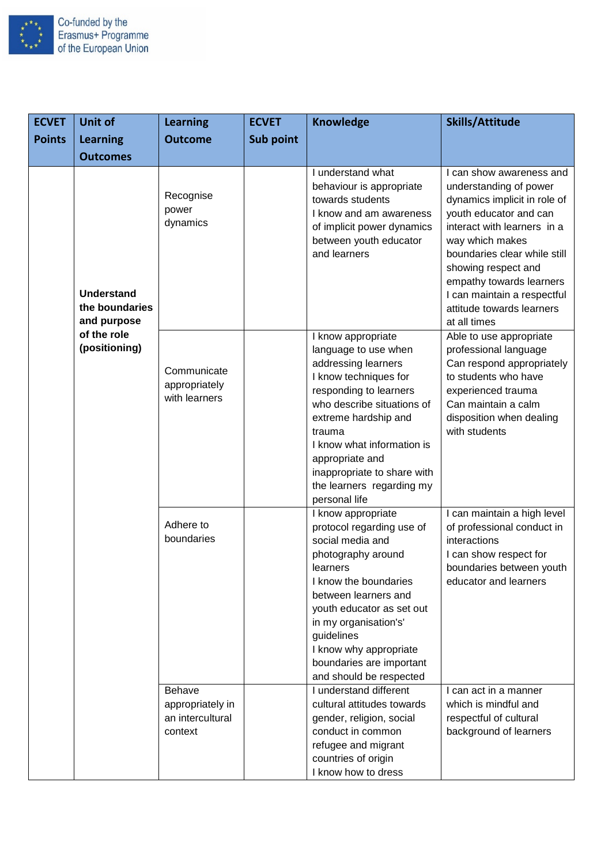

| <b>ECVET</b>  | <b>Unit of</b>                                                                     | <b>Learning</b>                                                  | <b>ECVET</b> | <b>Knowledge</b>                                                                                                                                                                                                                                                                                                   | <b>Skills/Attitude</b>                                                                                                                                                                                                                                                                                                        |
|---------------|------------------------------------------------------------------------------------|------------------------------------------------------------------|--------------|--------------------------------------------------------------------------------------------------------------------------------------------------------------------------------------------------------------------------------------------------------------------------------------------------------------------|-------------------------------------------------------------------------------------------------------------------------------------------------------------------------------------------------------------------------------------------------------------------------------------------------------------------------------|
| <b>Points</b> | <b>Learning</b>                                                                    | <b>Outcome</b>                                                   | Sub point    |                                                                                                                                                                                                                                                                                                                    |                                                                                                                                                                                                                                                                                                                               |
|               | <b>Outcomes</b>                                                                    |                                                                  |              |                                                                                                                                                                                                                                                                                                                    |                                                                                                                                                                                                                                                                                                                               |
|               | <b>Understand</b><br>the boundaries<br>and purpose<br>of the role<br>(positioning) | Recognise<br>power<br>dynamics                                   |              | I understand what<br>behaviour is appropriate<br>towards students<br>I know and am awareness<br>of implicit power dynamics<br>between youth educator<br>and learners                                                                                                                                               | I can show awareness and<br>understanding of power<br>dynamics implicit in role of<br>youth educator and can<br>interact with learners in a<br>way which makes<br>boundaries clear while still<br>showing respect and<br>empathy towards learners<br>I can maintain a respectful<br>attitude towards learners<br>at all times |
|               |                                                                                    | Communicate<br>appropriately<br>with learners                    |              | I know appropriate<br>language to use when<br>addressing learners<br>I know techniques for<br>responding to learners<br>who describe situations of<br>extreme hardship and<br>trauma<br>I know what information is<br>appropriate and<br>inappropriate to share with<br>the learners regarding my<br>personal life | Able to use appropriate<br>professional language<br>Can respond appropriately<br>to students who have<br>experienced trauma<br>Can maintain a calm<br>disposition when dealing<br>with students                                                                                                                               |
|               |                                                                                    | Adhere to<br>boundaries                                          |              | I know appropriate<br>protocol regarding use of<br>social media and<br>photography around<br>learners<br>I know the boundaries<br>between learners and<br>youth educator as set out<br>in my organisation's'<br>guidelines<br>I know why appropriate<br>boundaries are important<br>and should be respected        | I can maintain a high level<br>of professional conduct in<br>interactions<br>I can show respect for<br>boundaries between youth<br>educator and learners                                                                                                                                                                      |
|               |                                                                                    | <b>Behave</b><br>appropriately in<br>an intercultural<br>context |              | I understand different<br>cultural attitudes towards<br>gender, religion, social<br>conduct in common<br>refugee and migrant<br>countries of origin<br>I know how to dress                                                                                                                                         | I can act in a manner<br>which is mindful and<br>respectful of cultural<br>background of learners                                                                                                                                                                                                                             |